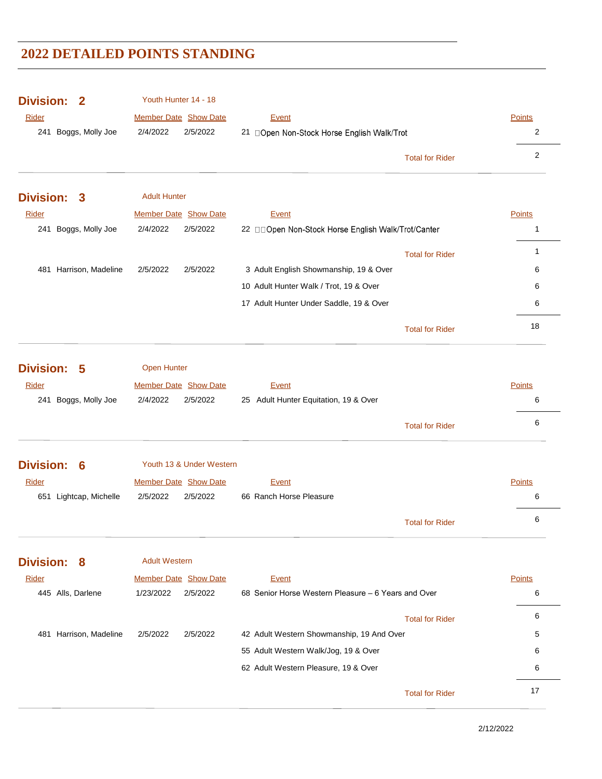| 2/4/2022<br>2/5/2022<br>Boggs, Molly Joe<br>21 □Open Non-Stock Horse English Walk/Trot<br>2<br>241<br>$\overline{2}$<br><b>Total for Rider</b><br><b>Adult Hunter</b><br><b>Division:</b><br>3<br>Member Date Show Date<br>Rider<br>Points<br>Event<br>Boggs, Molly Joe<br>2/4/2022<br>2/5/2022<br>241<br>22 ODpen Non-Stock Horse English Walk/Trot/Canter<br>$\mathbf{1}$<br>1<br><b>Total for Rider</b><br>481 Harrison, Madeline<br>2/5/2022<br>2/5/2022<br>3 Adult English Showmanship, 19 & Over<br>6<br>10 Adult Hunter Walk / Trot, 19 & Over<br>6<br>6<br>17 Adult Hunter Under Saddle, 19 & Over<br>18<br><b>Total for Rider</b><br><b>Division:</b><br><b>Open Hunter</b><br>5<br><b>Member Date Show Date</b><br><b>Points</b><br>Rider<br>Event<br>241 Boggs, Molly Joe<br>2/4/2022<br>2/5/2022<br>25 Adult Hunter Equitation, 19 & Over<br>6<br>6<br><b>Total for Rider</b><br><b>Division:</b><br>Youth 13 & Under Western<br>6<br>Member Date Show Date<br><b>Rider</b><br><b>Points</b><br>Event<br>66 Ranch Horse Pleasure<br>651 Lightcap, Michelle<br>2/5/2022<br>2/5/2022<br>6<br>6<br><b>Total for Rider</b><br><b>Division:</b><br><b>Adult Western</b><br>8<br>Member Date Show Date<br>Rider<br><b>Points</b><br>Event<br>2/5/2022<br>68 Senior Horse Western Pleasure - 6 Years and Over<br>445 Alls, Darlene<br>1/23/2022<br>6<br>6<br><b>Total for Rider</b><br>481 Harrison, Madeline<br>2/5/2022<br>2/5/2022<br>42 Adult Western Showmanship, 19 And Over<br>5<br>55 Adult Western Walk/Jog, 19 & Over<br>6<br>62 Adult Western Pleasure, 19 & Over<br>6 | <b>Division:</b><br>$\mathbf 2$<br><b>Rider</b> | Youth Hunter 14 - 18<br>Member Date Show Date | <b>Event</b> | Points |
|----------------------------------------------------------------------------------------------------------------------------------------------------------------------------------------------------------------------------------------------------------------------------------------------------------------------------------------------------------------------------------------------------------------------------------------------------------------------------------------------------------------------------------------------------------------------------------------------------------------------------------------------------------------------------------------------------------------------------------------------------------------------------------------------------------------------------------------------------------------------------------------------------------------------------------------------------------------------------------------------------------------------------------------------------------------------------------------------------------------------------------------------------------------------------------------------------------------------------------------------------------------------------------------------------------------------------------------------------------------------------------------------------------------------------------------------------------------------------------------------------------------------------------------------------------------------------------------|-------------------------------------------------|-----------------------------------------------|--------------|--------|
|                                                                                                                                                                                                                                                                                                                                                                                                                                                                                                                                                                                                                                                                                                                                                                                                                                                                                                                                                                                                                                                                                                                                                                                                                                                                                                                                                                                                                                                                                                                                                                                        |                                                 |                                               |              |        |
|                                                                                                                                                                                                                                                                                                                                                                                                                                                                                                                                                                                                                                                                                                                                                                                                                                                                                                                                                                                                                                                                                                                                                                                                                                                                                                                                                                                                                                                                                                                                                                                        |                                                 |                                               |              |        |
|                                                                                                                                                                                                                                                                                                                                                                                                                                                                                                                                                                                                                                                                                                                                                                                                                                                                                                                                                                                                                                                                                                                                                                                                                                                                                                                                                                                                                                                                                                                                                                                        |                                                 |                                               |              |        |
|                                                                                                                                                                                                                                                                                                                                                                                                                                                                                                                                                                                                                                                                                                                                                                                                                                                                                                                                                                                                                                                                                                                                                                                                                                                                                                                                                                                                                                                                                                                                                                                        |                                                 |                                               |              |        |
|                                                                                                                                                                                                                                                                                                                                                                                                                                                                                                                                                                                                                                                                                                                                                                                                                                                                                                                                                                                                                                                                                                                                                                                                                                                                                                                                                                                                                                                                                                                                                                                        |                                                 |                                               |              |        |
|                                                                                                                                                                                                                                                                                                                                                                                                                                                                                                                                                                                                                                                                                                                                                                                                                                                                                                                                                                                                                                                                                                                                                                                                                                                                                                                                                                                                                                                                                                                                                                                        |                                                 |                                               |              |        |
|                                                                                                                                                                                                                                                                                                                                                                                                                                                                                                                                                                                                                                                                                                                                                                                                                                                                                                                                                                                                                                                                                                                                                                                                                                                                                                                                                                                                                                                                                                                                                                                        |                                                 |                                               |              |        |
|                                                                                                                                                                                                                                                                                                                                                                                                                                                                                                                                                                                                                                                                                                                                                                                                                                                                                                                                                                                                                                                                                                                                                                                                                                                                                                                                                                                                                                                                                                                                                                                        |                                                 |                                               |              |        |
|                                                                                                                                                                                                                                                                                                                                                                                                                                                                                                                                                                                                                                                                                                                                                                                                                                                                                                                                                                                                                                                                                                                                                                                                                                                                                                                                                                                                                                                                                                                                                                                        |                                                 |                                               |              |        |
|                                                                                                                                                                                                                                                                                                                                                                                                                                                                                                                                                                                                                                                                                                                                                                                                                                                                                                                                                                                                                                                                                                                                                                                                                                                                                                                                                                                                                                                                                                                                                                                        |                                                 |                                               |              |        |
|                                                                                                                                                                                                                                                                                                                                                                                                                                                                                                                                                                                                                                                                                                                                                                                                                                                                                                                                                                                                                                                                                                                                                                                                                                                                                                                                                                                                                                                                                                                                                                                        |                                                 |                                               |              |        |
|                                                                                                                                                                                                                                                                                                                                                                                                                                                                                                                                                                                                                                                                                                                                                                                                                                                                                                                                                                                                                                                                                                                                                                                                                                                                                                                                                                                                                                                                                                                                                                                        |                                                 |                                               |              |        |
|                                                                                                                                                                                                                                                                                                                                                                                                                                                                                                                                                                                                                                                                                                                                                                                                                                                                                                                                                                                                                                                                                                                                                                                                                                                                                                                                                                                                                                                                                                                                                                                        |                                                 |                                               |              |        |
|                                                                                                                                                                                                                                                                                                                                                                                                                                                                                                                                                                                                                                                                                                                                                                                                                                                                                                                                                                                                                                                                                                                                                                                                                                                                                                                                                                                                                                                                                                                                                                                        |                                                 |                                               |              |        |
|                                                                                                                                                                                                                                                                                                                                                                                                                                                                                                                                                                                                                                                                                                                                                                                                                                                                                                                                                                                                                                                                                                                                                                                                                                                                                                                                                                                                                                                                                                                                                                                        |                                                 |                                               |              |        |
|                                                                                                                                                                                                                                                                                                                                                                                                                                                                                                                                                                                                                                                                                                                                                                                                                                                                                                                                                                                                                                                                                                                                                                                                                                                                                                                                                                                                                                                                                                                                                                                        |                                                 |                                               |              |        |
|                                                                                                                                                                                                                                                                                                                                                                                                                                                                                                                                                                                                                                                                                                                                                                                                                                                                                                                                                                                                                                                                                                                                                                                                                                                                                                                                                                                                                                                                                                                                                                                        |                                                 |                                               |              |        |
|                                                                                                                                                                                                                                                                                                                                                                                                                                                                                                                                                                                                                                                                                                                                                                                                                                                                                                                                                                                                                                                                                                                                                                                                                                                                                                                                                                                                                                                                                                                                                                                        |                                                 |                                               |              |        |
|                                                                                                                                                                                                                                                                                                                                                                                                                                                                                                                                                                                                                                                                                                                                                                                                                                                                                                                                                                                                                                                                                                                                                                                                                                                                                                                                                                                                                                                                                                                                                                                        |                                                 |                                               |              |        |
|                                                                                                                                                                                                                                                                                                                                                                                                                                                                                                                                                                                                                                                                                                                                                                                                                                                                                                                                                                                                                                                                                                                                                                                                                                                                                                                                                                                                                                                                                                                                                                                        |                                                 |                                               |              |        |
|                                                                                                                                                                                                                                                                                                                                                                                                                                                                                                                                                                                                                                                                                                                                                                                                                                                                                                                                                                                                                                                                                                                                                                                                                                                                                                                                                                                                                                                                                                                                                                                        |                                                 |                                               |              |        |
|                                                                                                                                                                                                                                                                                                                                                                                                                                                                                                                                                                                                                                                                                                                                                                                                                                                                                                                                                                                                                                                                                                                                                                                                                                                                                                                                                                                                                                                                                                                                                                                        |                                                 |                                               |              |        |
|                                                                                                                                                                                                                                                                                                                                                                                                                                                                                                                                                                                                                                                                                                                                                                                                                                                                                                                                                                                                                                                                                                                                                                                                                                                                                                                                                                                                                                                                                                                                                                                        |                                                 |                                               |              |        |
|                                                                                                                                                                                                                                                                                                                                                                                                                                                                                                                                                                                                                                                                                                                                                                                                                                                                                                                                                                                                                                                                                                                                                                                                                                                                                                                                                                                                                                                                                                                                                                                        |                                                 |                                               |              |        |
|                                                                                                                                                                                                                                                                                                                                                                                                                                                                                                                                                                                                                                                                                                                                                                                                                                                                                                                                                                                                                                                                                                                                                                                                                                                                                                                                                                                                                                                                                                                                                                                        |                                                 |                                               |              |        |

17 Total for Rider

2/12/2022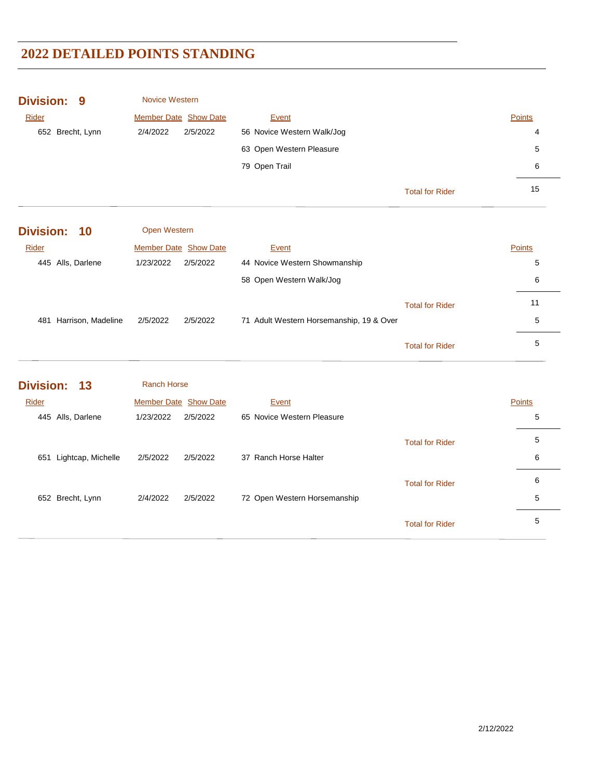| <b>Division: 9</b> | <b>Novice Western</b>        |                               |                        |               |
|--------------------|------------------------------|-------------------------------|------------------------|---------------|
| Rider              | <b>Member Date Show Date</b> | Event                         |                        | <b>Points</b> |
| 652 Brecht, Lynn   | 2/4/2022<br>2/5/2022         | 56 Novice Western Walk/Jog    |                        | 4             |
|                    |                              | 63 Open Western Pleasure      |                        | 5             |
|                    |                              | 79 Open Trail                 |                        | 6             |
|                    |                              |                               | <b>Total for Rider</b> | 15            |
| Division: 10       | <b>Open Western</b>          |                               |                        |               |
| Rider              | <b>Member Date Show Date</b> | Event                         |                        | <b>Points</b> |
| 445 Alls, Darlene  | 1/23/2022<br>2/5/2022        | 44 Novice Western Showmanship |                        | 5             |

|                        |          |          | 58 Open Western Walk/Jog                 |                        | 6  |
|------------------------|----------|----------|------------------------------------------|------------------------|----|
|                        |          |          |                                          | <b>Total for Rider</b> | 11 |
| 481 Harrison, Madeline | 2/5/2022 | 2/5/2022 | 71 Adult Western Horsemanship, 19 & Over |                        | 5  |
|                        |          |          |                                          | <b>Total for Rider</b> | 5  |

| Division: 13              | <b>Ranch Horse</b>           |                              |               |
|---------------------------|------------------------------|------------------------------|---------------|
| Rider                     | <b>Member Date Show Date</b> | Event                        | <b>Points</b> |
| 445 Alls, Darlene         | 1/23/2022<br>2/5/2022        | 65 Novice Western Pleasure   | 5             |
|                           |                              | <b>Total for Rider</b>       | 5             |
| Lightcap, Michelle<br>651 | 2/5/2022<br>2/5/2022         | 37 Ranch Horse Halter        | 6             |
|                           |                              | <b>Total for Rider</b>       | 6             |
| 652 Brecht, Lynn          | 2/5/2022<br>2/4/2022         | 72 Open Western Horsemanship | 5             |
|                           |                              | <b>Total for Rider</b>       | 5             |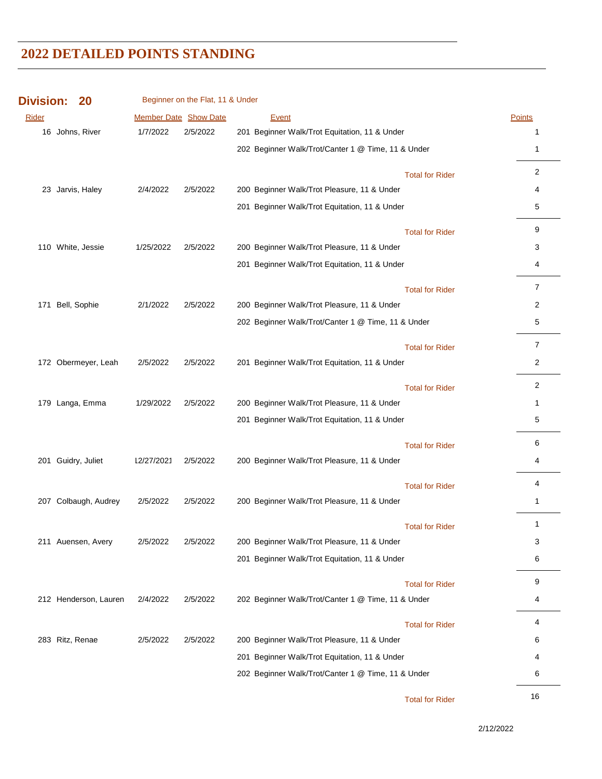| <b>Division:</b> | 20                    |            | Beginner on the Flat, 11 & Under |                                                    |                        |                |
|------------------|-----------------------|------------|----------------------------------|----------------------------------------------------|------------------------|----------------|
| Rider            |                       |            | Member Date Show Date            | Event                                              |                        | Points         |
|                  | 16 Johns, River       | 1/7/2022   | 2/5/2022                         | 201 Beginner Walk/Trot Equitation, 11 & Under      |                        | 1              |
|                  |                       |            |                                  | 202 Beginner Walk/Trot/Canter 1 @ Time, 11 & Under |                        | 1              |
|                  |                       |            |                                  |                                                    | <b>Total for Rider</b> | 2              |
|                  | 23 Jarvis, Haley      | 2/4/2022   | 2/5/2022                         | 200 Beginner Walk/Trot Pleasure, 11 & Under        |                        | 4              |
|                  |                       |            |                                  | 201 Beginner Walk/Trot Equitation, 11 & Under      |                        | 5              |
|                  |                       |            |                                  |                                                    | <b>Total for Rider</b> | 9              |
|                  | 110 White, Jessie     | 1/25/2022  | 2/5/2022                         | 200 Beginner Walk/Trot Pleasure, 11 & Under        |                        | 3              |
|                  |                       |            |                                  | 201 Beginner Walk/Trot Equitation, 11 & Under      |                        | 4              |
|                  |                       |            |                                  |                                                    | <b>Total for Rider</b> | $\overline{7}$ |
| 171              | Bell, Sophie          | 2/1/2022   | 2/5/2022                         | 200 Beginner Walk/Trot Pleasure, 11 & Under        |                        | 2              |
|                  |                       |            |                                  | 202 Beginner Walk/Trot/Canter 1 @ Time, 11 & Under |                        | 5              |
|                  |                       |            |                                  |                                                    | <b>Total for Rider</b> | $\overline{7}$ |
|                  | 172 Obermeyer, Leah   | 2/5/2022   | 2/5/2022                         | 201 Beginner Walk/Trot Equitation, 11 & Under      |                        | $\overline{c}$ |
|                  |                       |            |                                  |                                                    | <b>Total for Rider</b> | $\overline{2}$ |
|                  | 179 Langa, Emma       | 1/29/2022  | 2/5/2022                         | 200 Beginner Walk/Trot Pleasure, 11 & Under        |                        | 1              |
|                  |                       |            |                                  | 201 Beginner Walk/Trot Equitation, 11 & Under      |                        | 5              |
|                  |                       |            |                                  |                                                    | <b>Total for Rider</b> | 6              |
|                  | 201 Guidry, Juliet    | 12/27/2021 | 2/5/2022                         | 200 Beginner Walk/Trot Pleasure, 11 & Under        |                        | 4              |
|                  |                       |            |                                  |                                                    | <b>Total for Rider</b> | 4              |
|                  | 207 Colbaugh, Audrey  | 2/5/2022   | 2/5/2022                         | 200 Beginner Walk/Trot Pleasure, 11 & Under        |                        | 1              |
|                  |                       |            |                                  |                                                    | <b>Total for Rider</b> | 1              |
|                  | 211 Auensen, Avery    | 2/5/2022   | 2/5/2022                         | 200 Beginner Walk/Trot Pleasure, 11 & Under        |                        | 3              |
|                  |                       |            |                                  | 201 Beginner Walk/Trot Equitation, 11 & Under      |                        | 6              |
|                  |                       |            |                                  |                                                    | <b>Total for Rider</b> | 9              |
|                  | 212 Henderson, Lauren | 2/4/2022   | 2/5/2022                         | 202 Beginner Walk/Trot/Canter 1 @ Time, 11 & Under |                        | 4              |
|                  |                       |            |                                  |                                                    | <b>Total for Rider</b> | 4              |
|                  | 283 Ritz, Renae       | 2/5/2022   | 2/5/2022                         | 200 Beginner Walk/Trot Pleasure, 11 & Under        |                        | 6              |
|                  |                       |            |                                  | 201 Beginner Walk/Trot Equitation, 11 & Under      |                        | 4              |
|                  |                       |            |                                  | 202 Beginner Walk/Trot/Canter 1 @ Time, 11 & Under |                        | 6              |
|                  |                       |            |                                  |                                                    |                        |                |

16 Total for Rider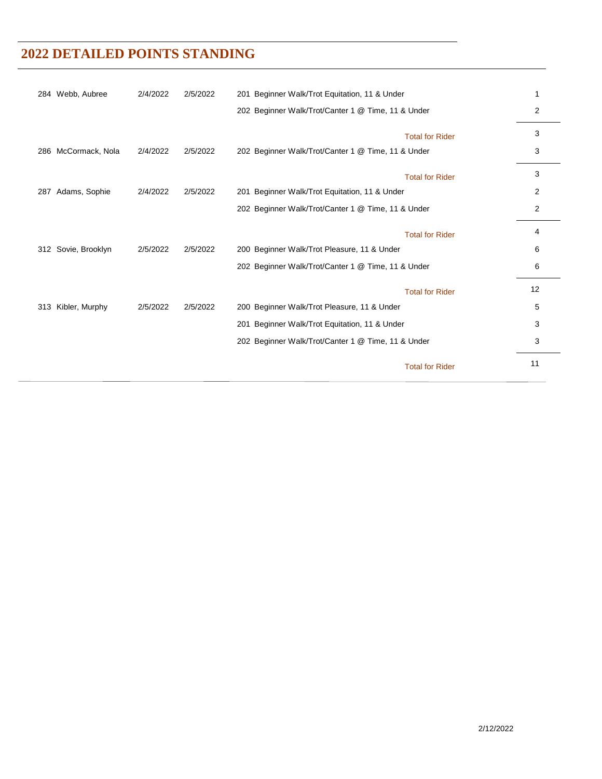| 284 Webb, Aubree       | 2/4/2022 | 2/5/2022 | 201 Beginner Walk/Trot Equitation, 11 & Under      | 1              |
|------------------------|----------|----------|----------------------------------------------------|----------------|
|                        |          |          | 202 Beginner Walk/Trot/Canter 1 @ Time, 11 & Under | 2              |
|                        |          |          | <b>Total for Rider</b>                             | 3              |
| McCormack, Nola<br>286 | 2/4/2022 | 2/5/2022 | 202 Beginner Walk/Trot/Canter 1 @ Time, 11 & Under | 3              |
|                        |          |          | <b>Total for Rider</b>                             | 3              |
| Adams, Sophie<br>287   | 2/4/2022 | 2/5/2022 | 201 Beginner Walk/Trot Equitation, 11 & Under      | $\overline{2}$ |
|                        |          |          | 202 Beginner Walk/Trot/Canter 1 @ Time, 11 & Under | 2              |
|                        |          |          | <b>Total for Rider</b>                             | 4              |
| Sovie, Brooklyn<br>312 | 2/5/2022 | 2/5/2022 | 200 Beginner Walk/Trot Pleasure, 11 & Under        | 6              |
|                        |          |          | 202 Beginner Walk/Trot/Canter 1 @ Time, 11 & Under | 6              |
|                        |          |          | <b>Total for Rider</b>                             | 12             |
| Kibler, Murphy<br>313  | 2/5/2022 | 2/5/2022 | 200 Beginner Walk/Trot Pleasure, 11 & Under        | 5              |
|                        |          |          | 201 Beginner Walk/Trot Equitation, 11 & Under      | 3              |
|                        |          |          | 202 Beginner Walk/Trot/Canter 1 @ Time, 11 & Under | 3              |
|                        |          |          | <b>Total for Rider</b>                             | 11             |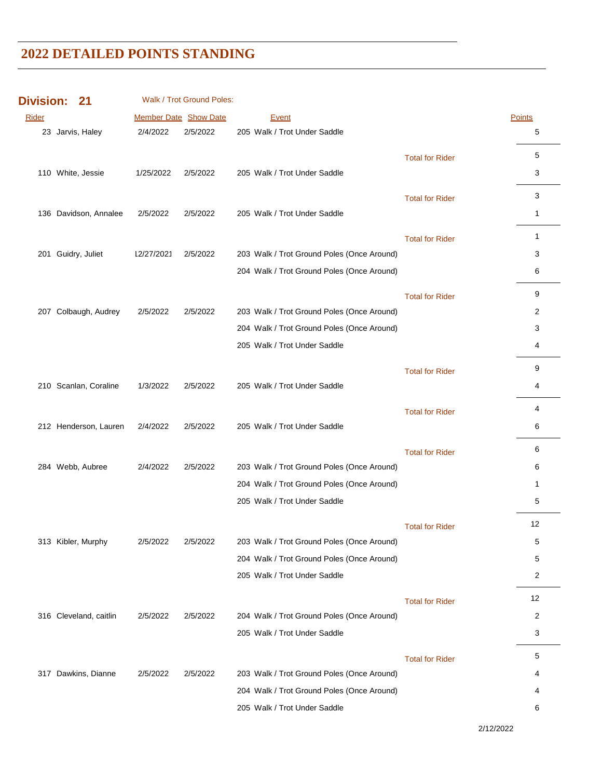| <b>Division:</b> | 21                     |                       | Walk / Trot Ground Poles: |                                            |                        |                |
|------------------|------------------------|-----------------------|---------------------------|--------------------------------------------|------------------------|----------------|
| Rider            |                        | Member Date Show Date |                           | <b>Event</b>                               |                        | Points         |
|                  | 23 Jarvis, Haley       | 2/4/2022              | 2/5/2022                  | 205 Walk / Trot Under Saddle               |                        | 5              |
|                  |                        |                       |                           |                                            | <b>Total for Rider</b> | 5              |
|                  | 110 White, Jessie      | 1/25/2022             | 2/5/2022                  | 205 Walk / Trot Under Saddle               |                        | 3              |
|                  |                        |                       |                           |                                            |                        | 3              |
|                  | 136 Davidson, Annalee  | 2/5/2022              | 2/5/2022                  | 205 Walk / Trot Under Saddle               | <b>Total for Rider</b> | $\mathbf{1}$   |
|                  |                        |                       |                           |                                            |                        |                |
|                  |                        |                       |                           |                                            | <b>Total for Rider</b> | 1              |
|                  | 201 Guidry, Juliet     | 12/27/2021            | 2/5/2022                  | 203 Walk / Trot Ground Poles (Once Around) |                        | 3              |
|                  |                        |                       |                           | 204 Walk / Trot Ground Poles (Once Around) |                        | 6              |
|                  |                        |                       |                           |                                            | <b>Total for Rider</b> | 9              |
|                  | 207 Colbaugh, Audrey   | 2/5/2022              | 2/5/2022                  | 203 Walk / Trot Ground Poles (Once Around) |                        | 2              |
|                  |                        |                       |                           | 204 Walk / Trot Ground Poles (Once Around) |                        | 3              |
|                  |                        |                       |                           | 205 Walk / Trot Under Saddle               |                        | 4              |
|                  |                        |                       |                           |                                            | <b>Total for Rider</b> | 9              |
|                  | 210 Scanlan, Coraline  | 1/3/2022              | 2/5/2022                  | 205 Walk / Trot Under Saddle               |                        | 4              |
|                  |                        |                       |                           |                                            |                        | 4              |
|                  | 212 Henderson, Lauren  | 2/4/2022              | 2/5/2022                  | 205 Walk / Trot Under Saddle               | <b>Total for Rider</b> | 6              |
|                  |                        |                       |                           |                                            |                        |                |
|                  |                        |                       |                           |                                            | <b>Total for Rider</b> | 6              |
|                  | 284 Webb, Aubree       | 2/4/2022              | 2/5/2022                  | 203 Walk / Trot Ground Poles (Once Around) |                        | 6              |
|                  |                        |                       |                           | 204 Walk / Trot Ground Poles (Once Around) |                        | 1              |
|                  |                        |                       |                           | 205 Walk / Trot Under Saddle               |                        | 5              |
|                  |                        |                       |                           |                                            | <b>Total for Rider</b> | 12             |
|                  | 313 Kibler, Murphy     | 2/5/2022              | 2/5/2022                  | 203 Walk / Trot Ground Poles (Once Around) |                        | 5              |
|                  |                        |                       |                           | 204 Walk / Trot Ground Poles (Once Around) |                        | 5              |
|                  |                        |                       |                           | 205 Walk / Trot Under Saddle               |                        | $\overline{2}$ |
|                  |                        |                       |                           |                                            | <b>Total for Rider</b> | 12             |
|                  | 316 Cleveland, caitlin | 2/5/2022              | 2/5/2022                  | 204 Walk / Trot Ground Poles (Once Around) |                        | 2              |
|                  |                        |                       |                           | 205 Walk / Trot Under Saddle               |                        | 3              |
|                  |                        |                       |                           |                                            | <b>Total for Rider</b> | 5              |
|                  | 317 Dawkins, Dianne    | 2/5/2022              | 2/5/2022                  | 203 Walk / Trot Ground Poles (Once Around) |                        | 4              |
|                  |                        |                       |                           | 204 Walk / Trot Ground Poles (Once Around) |                        | 4              |
|                  |                        |                       |                           | 205 Walk / Trot Under Saddle               |                        | 6              |
|                  |                        |                       |                           |                                            |                        |                |

2/12/2022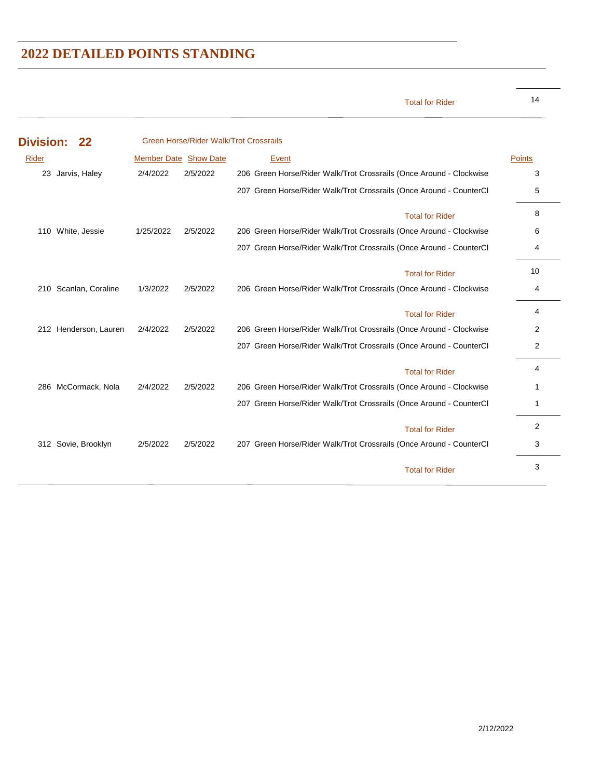14 Total for Rider

| <b>Division:</b> | 22                    |                              | <b>Green Horse/Rider Walk/Trot Crossrails</b> |                                                                     |        |
|------------------|-----------------------|------------------------------|-----------------------------------------------|---------------------------------------------------------------------|--------|
| Rider            |                       | <b>Member Date Show Date</b> |                                               | Event                                                               | Points |
|                  | 23 Jarvis, Haley      | 2/4/2022                     | 2/5/2022                                      | 206 Green Horse/Rider Walk/Trot Crossrails (Once Around - Clockwise | 3      |
|                  |                       |                              |                                               | 207 Green Horse/Rider Walk/Trot Crossrails (Once Around - CounterCl | 5      |
|                  |                       |                              |                                               | <b>Total for Rider</b>                                              | 8      |
|                  | 110 White, Jessie     | 1/25/2022                    | 2/5/2022                                      | 206 Green Horse/Rider Walk/Trot Crossrails (Once Around - Clockwise | 6      |
|                  |                       |                              |                                               | 207 Green Horse/Rider Walk/Trot Crossrails (Once Around - CounterCl | 4      |
|                  |                       |                              |                                               | <b>Total for Rider</b>                                              | 10     |
| 210              | Scanlan, Coraline     | 1/3/2022                     | 2/5/2022                                      | 206 Green Horse/Rider Walk/Trot Crossrails (Once Around - Clockwise | 4      |
|                  |                       |                              |                                               | <b>Total for Rider</b>                                              | 4      |
|                  | 212 Henderson, Lauren | 2/4/2022                     | 2/5/2022                                      | 206 Green Horse/Rider Walk/Trot Crossrails (Once Around - Clockwise | 2      |
|                  |                       |                              |                                               | 207 Green Horse/Rider Walk/Trot Crossrails (Once Around - CounterCl | 2      |
|                  |                       |                              |                                               | <b>Total for Rider</b>                                              | 4      |
|                  | 286 McCormack, Nola   | 2/4/2022                     | 2/5/2022                                      | 206 Green Horse/Rider Walk/Trot Crossrails (Once Around - Clockwise | 1      |
|                  |                       |                              |                                               | 207 Green Horse/Rider Walk/Trot Crossrails (Once Around - CounterCl | 1      |
|                  |                       |                              |                                               | <b>Total for Rider</b>                                              | 2      |
|                  | 312 Sovie, Brooklyn   | 2/5/2022                     | 2/5/2022                                      | 207 Green Horse/Rider Walk/Trot Crossrails (Once Around - CounterCl | 3      |
|                  |                       |                              |                                               | <b>Total for Rider</b>                                              | 3      |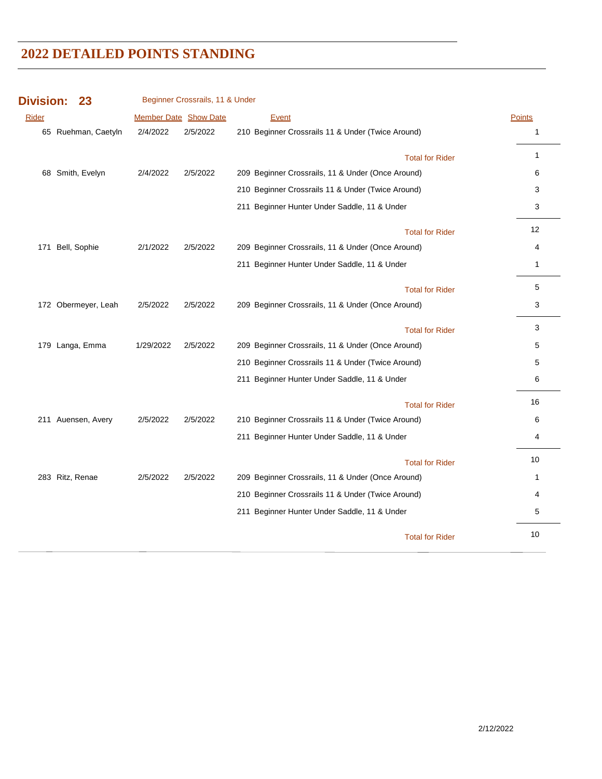| <b>Division:</b> | 23                  |                              | Beginner Crossrails, 11 & Under |                                                   |               |
|------------------|---------------------|------------------------------|---------------------------------|---------------------------------------------------|---------------|
| Rider            |                     | <b>Member Date Show Date</b> |                                 | Event                                             | <b>Points</b> |
|                  | 65 Ruehman, Caetyln | 2/4/2022                     | 2/5/2022                        | 210 Beginner Crossrails 11 & Under (Twice Around) | $\mathbf{1}$  |
|                  |                     |                              |                                 | <b>Total for Rider</b>                            | $\mathbf{1}$  |
|                  | 68 Smith, Evelyn    | 2/4/2022                     | 2/5/2022                        | 209 Beginner Crossrails, 11 & Under (Once Around) | 6             |
|                  |                     |                              |                                 | 210 Beginner Crossrails 11 & Under (Twice Around) | 3             |
|                  |                     |                              |                                 | 211 Beginner Hunter Under Saddle, 11 & Under      | 3             |
|                  |                     |                              |                                 | <b>Total for Rider</b>                            | 12            |
|                  | 171 Bell, Sophie    | 2/1/2022                     | 2/5/2022                        | 209 Beginner Crossrails, 11 & Under (Once Around) | 4             |
|                  |                     |                              |                                 | 211 Beginner Hunter Under Saddle, 11 & Under      | $\mathbf{1}$  |
|                  |                     |                              |                                 | <b>Total for Rider</b>                            | 5             |
|                  | 172 Obermeyer, Leah | 2/5/2022                     | 2/5/2022                        | 209 Beginner Crossrails, 11 & Under (Once Around) | 3             |
|                  |                     |                              |                                 | <b>Total for Rider</b>                            | 3             |
|                  | 179 Langa, Emma     | 1/29/2022                    | 2/5/2022                        | 209 Beginner Crossrails, 11 & Under (Once Around) | 5             |
|                  |                     |                              |                                 | 210 Beginner Crossrails 11 & Under (Twice Around) | 5             |
|                  |                     |                              |                                 | 211 Beginner Hunter Under Saddle, 11 & Under      | 6             |
|                  |                     |                              |                                 | <b>Total for Rider</b>                            | 16            |
|                  | 211 Auensen, Avery  | 2/5/2022                     | 2/5/2022                        | 210 Beginner Crossrails 11 & Under (Twice Around) | 6             |
|                  |                     |                              |                                 | 211 Beginner Hunter Under Saddle, 11 & Under      | 4             |
|                  |                     |                              |                                 | <b>Total for Rider</b>                            | 10            |
|                  | 283 Ritz, Renae     | 2/5/2022                     | 2/5/2022                        | 209 Beginner Crossrails, 11 & Under (Once Around) | 1             |
|                  |                     |                              |                                 | 210 Beginner Crossrails 11 & Under (Twice Around) | 4             |
|                  |                     |                              |                                 | 211 Beginner Hunter Under Saddle, 11 & Under      | 5             |
|                  |                     |                              |                                 | <b>Total for Rider</b>                            | 10            |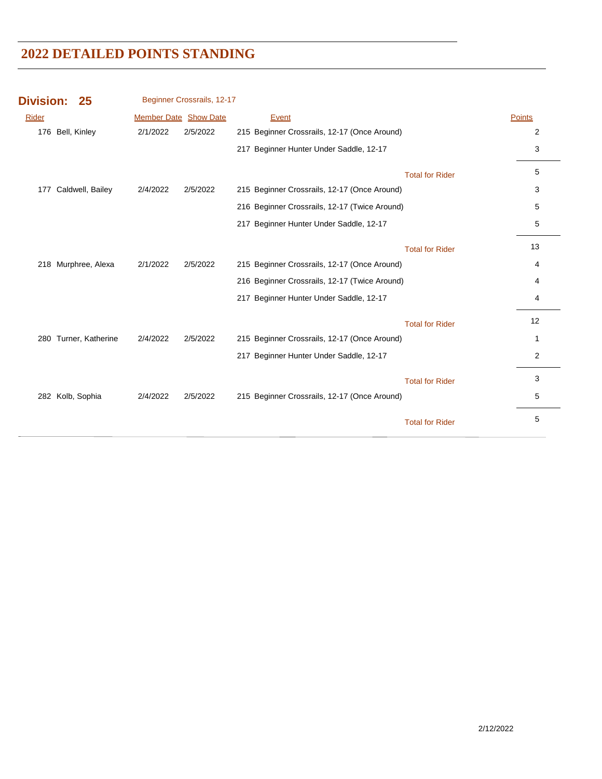| <b>Division:</b> | 25                    |          | Beginner Crossrails, 12-17   |                                               |                        |               |
|------------------|-----------------------|----------|------------------------------|-----------------------------------------------|------------------------|---------------|
| Rider            |                       |          | <b>Member Date Show Date</b> | Event                                         |                        | <b>Points</b> |
|                  | 176 Bell, Kinley      | 2/1/2022 | 2/5/2022                     | 215 Beginner Crossrails, 12-17 (Once Around)  |                        | 2             |
|                  |                       |          |                              | 217 Beginner Hunter Under Saddle, 12-17       |                        | 3             |
|                  |                       |          |                              |                                               | <b>Total for Rider</b> | 5             |
| 177              | Caldwell, Bailey      | 2/4/2022 | 2/5/2022                     | 215 Beginner Crossrails, 12-17 (Once Around)  |                        | 3             |
|                  |                       |          |                              | 216 Beginner Crossrails, 12-17 (Twice Around) |                        | 5             |
|                  |                       |          |                              | 217 Beginner Hunter Under Saddle, 12-17       |                        | 5             |
|                  |                       |          |                              |                                               | <b>Total for Rider</b> | 13            |
|                  | 218 Murphree, Alexa   | 2/1/2022 | 2/5/2022                     | 215 Beginner Crossrails, 12-17 (Once Around)  |                        | 4             |
|                  |                       |          |                              | 216 Beginner Crossrails, 12-17 (Twice Around) |                        | 4             |
|                  |                       |          |                              | 217 Beginner Hunter Under Saddle, 12-17       |                        | 4             |
|                  |                       |          |                              |                                               | <b>Total for Rider</b> | 12            |
|                  | 280 Turner, Katherine | 2/4/2022 | 2/5/2022                     | 215 Beginner Crossrails, 12-17 (Once Around)  |                        | 1             |
|                  |                       |          |                              | 217 Beginner Hunter Under Saddle, 12-17       |                        | 2             |
|                  |                       |          |                              |                                               | <b>Total for Rider</b> | 3             |
|                  | 282 Kolb, Sophia      | 2/4/2022 | 2/5/2022                     | 215 Beginner Crossrails, 12-17 (Once Around)  |                        | 5             |
|                  |                       |          |                              |                                               | <b>Total for Rider</b> | 5             |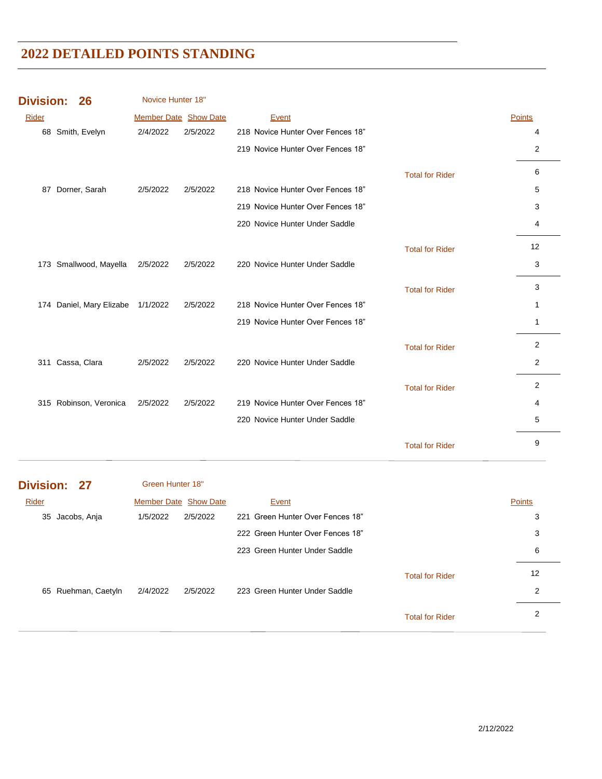| <b>Division:</b> |              | 26                                | Novice Hunter 18"            |          |                                   |                        |        |
|------------------|--------------|-----------------------------------|------------------------------|----------|-----------------------------------|------------------------|--------|
| Rider            |              |                                   | <b>Member Date Show Date</b> |          | Event                             |                        | Points |
|                  |              | 68 Smith, Evelyn                  | 2/4/2022                     | 2/5/2022 | 218 Novice Hunter Over Fences 18" |                        | 4      |
|                  |              |                                   |                              |          | 219 Novice Hunter Over Fences 18" |                        | 2      |
|                  |              |                                   |                              |          |                                   | <b>Total for Rider</b> | 6      |
| 87               |              | Dorner, Sarah                     | 2/5/2022                     | 2/5/2022 | 218 Novice Hunter Over Fences 18" |                        | 5      |
|                  |              |                                   |                              |          | 219 Novice Hunter Over Fences 18" |                        | 3      |
|                  |              |                                   |                              |          | 220 Novice Hunter Under Saddle    |                        | 4      |
|                  |              |                                   |                              |          |                                   | <b>Total for Rider</b> | 12     |
|                  |              | 173 Smallwood, Mayella            | 2/5/2022                     | 2/5/2022 | 220 Novice Hunter Under Saddle    |                        | 3      |
|                  |              |                                   |                              |          |                                   | <b>Total for Rider</b> | 3      |
|                  |              | 174 Daniel, Mary Elizabe 1/1/2022 |                              | 2/5/2022 | 218 Novice Hunter Over Fences 18" |                        | 1      |
|                  |              |                                   |                              |          | 219 Novice Hunter Over Fences 18" |                        | 1      |
|                  |              |                                   |                              |          |                                   | <b>Total for Rider</b> | 2      |
| 311              | Cassa, Clara |                                   | 2/5/2022                     | 2/5/2022 | 220 Novice Hunter Under Saddle    |                        | 2      |
|                  |              |                                   |                              |          |                                   | <b>Total for Rider</b> | 2      |
|                  |              | 315 Robinson, Veronica            | 2/5/2022                     | 2/5/2022 | 219 Novice Hunter Over Fences 18" |                        | 4      |
|                  |              |                                   |                              |          | 220 Novice Hunter Under Saddle    |                        | 5      |
|                  |              |                                   |                              |          |                                   | <b>Total for Rider</b> | 9      |

| Division: 27        | Green Hunter 18"             |                                  |               |
|---------------------|------------------------------|----------------------------------|---------------|
| Rider               | <b>Member Date Show Date</b> | Event                            | <b>Points</b> |
| Jacobs, Anja<br>35  | 2/5/2022<br>1/5/2022         | 221 Green Hunter Over Fences 18" | 3             |
|                     |                              | 222 Green Hunter Over Fences 18" | 3             |
|                     |                              | 223 Green Hunter Under Saddle    | 6             |
|                     |                              | <b>Total for Rider</b>           | 12            |
| 65 Ruehman, Caetyln | 2/4/2022<br>2/5/2022         | 223 Green Hunter Under Saddle    | 2             |
|                     |                              | <b>Total for Rider</b>           | 2             |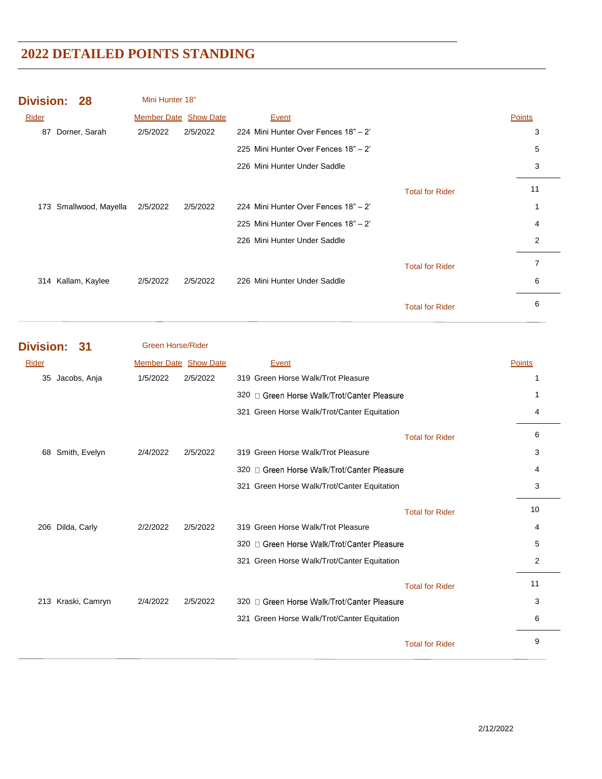|       | <b>Division: 28</b> | Mini Hunter 18"              |          |                                      |                        |        |
|-------|---------------------|------------------------------|----------|--------------------------------------|------------------------|--------|
| Rider |                     | <b>Member Date Show Date</b> |          | Event                                |                        | Points |
| 87    | Dorner, Sarah       | 2/5/2022                     | 2/5/2022 | 224 Mini Hunter Over Fences 18" - 2" |                        | 3      |
|       |                     |                              |          | 225 Mini Hunter Over Fences 18" - 2" |                        | 5      |
|       |                     |                              |          | 226 Mini Hunter Under Saddle         |                        | 3      |
|       |                     |                              |          |                                      | <b>Total for Rider</b> | 11     |
| 173   | Smallwood, Mayella  | 2/5/2022                     | 2/5/2022 | 224 Mini Hunter Over Fences 18" - 2" |                        | 1      |
|       |                     |                              |          | 225 Mini Hunter Over Fences 18" - 2" |                        | 4      |
|       |                     |                              |          | 226 Mini Hunter Under Saddle         |                        | 2      |
|       |                     |                              |          |                                      | <b>Total for Rider</b> | 7      |
|       | 314 Kallam, Kaylee  | 2/5/2022                     | 2/5/2022 | 226 Mini Hunter Under Saddle         |                        | 6      |
|       |                     |                              |          |                                      | <b>Total for Rider</b> | 6      |
|       |                     |                              |          |                                      |                        |        |

| <b>Division:</b> | -31            | <b>Green Horse/Rider</b>     |          |                                             |                        |                |
|------------------|----------------|------------------------------|----------|---------------------------------------------|------------------------|----------------|
| Rider            |                | <b>Member Date Show Date</b> |          | Event                                       |                        | <b>Points</b>  |
| 35               | Jacobs, Anja   | 1/5/2022                     | 2/5/2022 | 319 Green Horse Walk/Trot Pleasure          |                        |                |
|                  |                |                              |          | 320 □ Green Horse Walk/Trot/Canter Pleasure |                        | 1              |
|                  |                |                              |          | 321 Green Horse Walk/Trot/Canter Equitation |                        | 4              |
|                  |                |                              |          |                                             | <b>Total for Rider</b> | 6              |
| 68               | Smith, Evelyn  | 2/4/2022                     | 2/5/2022 | 319 Green Horse Walk/Trot Pleasure          |                        | 3              |
|                  |                |                              |          | 320 □ Green Horse Walk/Trot/Canter Pleasure |                        | 4              |
|                  |                |                              |          | 321 Green Horse Walk/Trot/Canter Equitation |                        | 3              |
|                  |                |                              |          |                                             | <b>Total for Rider</b> | 10             |
| 206              | Dilda, Carly   | 2/2/2022                     | 2/5/2022 | 319 Green Horse Walk/Trot Pleasure          |                        | 4              |
|                  |                |                              |          | 320 □ Green Horse Walk/Trot/Canter Pleasure |                        | 5              |
|                  |                |                              |          | 321 Green Horse Walk/Trot/Canter Equitation |                        | $\overline{2}$ |
|                  |                |                              |          |                                             | <b>Total for Rider</b> | 11             |
| 213              | Kraski, Camryn | 2/4/2022                     | 2/5/2022 | 320 □ Green Horse Walk/Trot/Canter Pleasure |                        | 3              |
|                  |                |                              |          | 321 Green Horse Walk/Trot/Canter Equitation |                        | 6              |
|                  |                |                              |          |                                             | <b>Total for Rider</b> | 9              |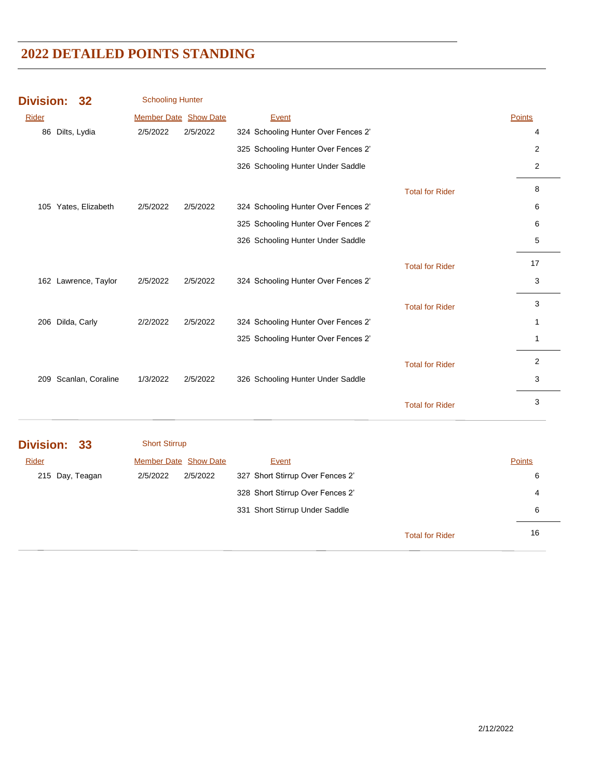| <b>Division:</b>     | 32                    | <b>Schooling Hunter</b> |          |                                     |                        |               |
|----------------------|-----------------------|-------------------------|----------|-------------------------------------|------------------------|---------------|
| Rider                |                       | Member Date Show Date   |          | Event                               |                        | Points        |
| 86 Dilts, Lydia      |                       | 2/5/2022                | 2/5/2022 | 324 Schooling Hunter Over Fences 2' |                        | 4             |
|                      |                       |                         |          | 325 Schooling Hunter Over Fences 2' |                        | 2             |
|                      |                       |                         |          | 326 Schooling Hunter Under Saddle   |                        | 2             |
|                      |                       |                         |          |                                     | <b>Total for Rider</b> | 8             |
| 105 Yates, Elizabeth |                       | 2/5/2022                | 2/5/2022 | 324 Schooling Hunter Over Fences 2' |                        | 6             |
|                      |                       |                         |          | 325 Schooling Hunter Over Fences 2' |                        | 6             |
|                      |                       |                         |          | 326 Schooling Hunter Under Saddle   |                        | 5             |
|                      |                       |                         |          |                                     | <b>Total for Rider</b> | 17            |
| 162 Lawrence, Taylor |                       | 2/5/2022                | 2/5/2022 | 324 Schooling Hunter Over Fences 2' |                        | 3             |
|                      |                       |                         |          |                                     | <b>Total for Rider</b> | 3             |
| 206 Dilda, Carly     |                       | 2/2/2022                | 2/5/2022 | 324 Schooling Hunter Over Fences 2' |                        | 1             |
|                      |                       |                         |          | 325 Schooling Hunter Over Fences 2' |                        | $\mathbf{1}$  |
|                      |                       |                         |          |                                     | <b>Total for Rider</b> | 2             |
|                      | 209 Scanlan, Coraline | 1/3/2022                | 2/5/2022 | 326 Schooling Hunter Under Saddle   |                        | 3             |
|                      |                       |                         |          |                                     | <b>Total for Rider</b> | 3             |
| Division: 33         |                       | <b>Short Stirrup</b>    |          |                                     |                        |               |
| Rider                |                       | Member Date Show Date   |          | Event                               |                        | <b>Points</b> |
| 215 Day, Teagan      |                       | 2/5/2022                | 2/5/2022 | 327 Short Stirrup Over Fences 2'    |                        | 6             |
|                      |                       |                         |          | 328 Short Stirrup Over Fences 2'    |                        | 4             |
|                      |                       |                         |          | 331 Short Stirrup Under Saddle      |                        | 6             |

16 Total for Rider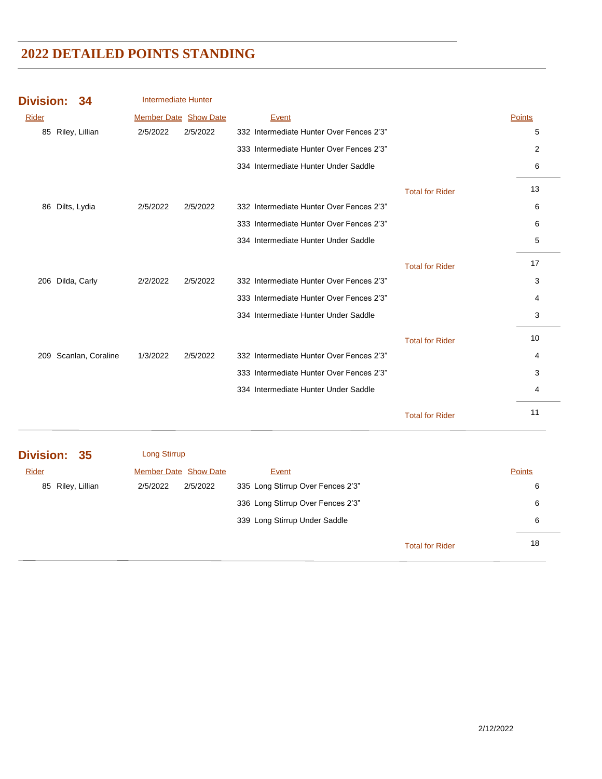| <b>Division:</b> | 34                | <b>Intermediate Hunter</b>   |          |                                          |                        |               |
|------------------|-------------------|------------------------------|----------|------------------------------------------|------------------------|---------------|
| Rider            |                   | <b>Member Date Show Date</b> |          | Event                                    |                        | <b>Points</b> |
|                  | 85 Riley, Lillian | 2/5/2022                     | 2/5/2022 | 332 Intermediate Hunter Over Fences 2'3" |                        | 5             |
|                  |                   |                              |          | 333 Intermediate Hunter Over Fences 2'3" |                        | 2             |
|                  |                   |                              |          | 334 Intermediate Hunter Under Saddle     |                        | 6             |
|                  |                   |                              |          |                                          | <b>Total for Rider</b> | 13            |
| 86               | Dilts, Lydia      | 2/5/2022                     | 2/5/2022 | 332 Intermediate Hunter Over Fences 2'3" |                        | 6             |
|                  |                   |                              |          | 333 Intermediate Hunter Over Fences 2'3" |                        | 6             |
|                  |                   |                              |          | 334 Intermediate Hunter Under Saddle     |                        | 5             |
|                  |                   |                              |          |                                          | <b>Total for Rider</b> | 17            |
| 206              | Dilda, Carly      | 2/2/2022                     | 2/5/2022 | 332 Intermediate Hunter Over Fences 2'3" |                        | 3             |
|                  |                   |                              |          | 333 Intermediate Hunter Over Fences 2'3" |                        | 4             |
|                  |                   |                              |          | 334 Intermediate Hunter Under Saddle     |                        | 3             |
|                  |                   |                              |          |                                          | <b>Total for Rider</b> | 10            |
| 209              | Scanlan, Coraline | 1/3/2022                     | 2/5/2022 | 332 Intermediate Hunter Over Fences 2'3" |                        | 4             |
|                  |                   |                              |          | 333 Intermediate Hunter Over Fences 2'3" |                        | 3             |
|                  |                   |                              |          | 334 Intermediate Hunter Under Saddle     |                        | 4             |
|                  |                   |                              |          |                                          | <b>Total for Rider</b> | 11            |

| Division: 35      | Long Stirrup          |          |                                   |                        |        |  |
|-------------------|-----------------------|----------|-----------------------------------|------------------------|--------|--|
| Rider             | Member Date Show Date |          | Event                             |                        | Points |  |
| 85 Riley, Lillian | 2/5/2022              | 2/5/2022 | 335 Long Stirrup Over Fences 2'3" |                        | 6      |  |
|                   |                       |          | 336 Long Stirrup Over Fences 2'3" |                        | 6      |  |
|                   |                       |          | 339 Long Stirrup Under Saddle     |                        | 6      |  |
|                   |                       |          |                                   | <b>Total for Rider</b> | 18     |  |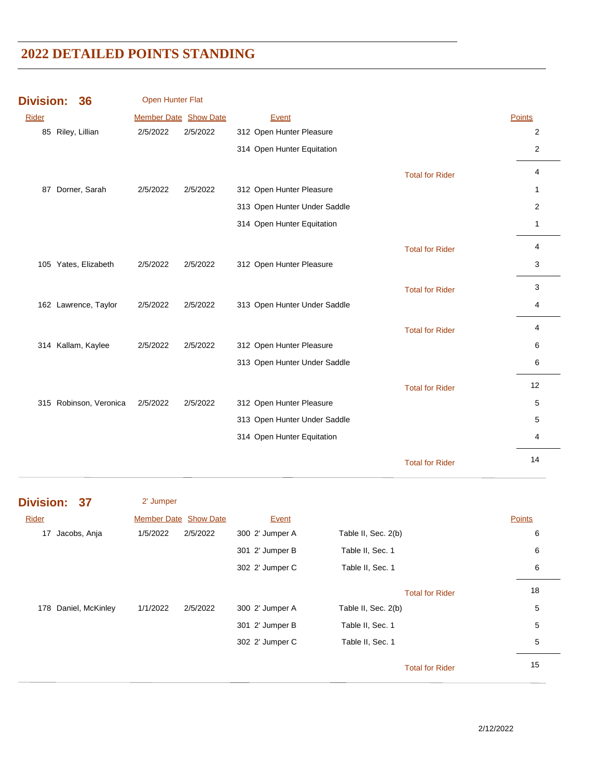| <b>Division:</b> | 36                     | Open Hunter Flat      |          |                              |                        |                |
|------------------|------------------------|-----------------------|----------|------------------------------|------------------------|----------------|
| Rider            |                        | Member Date Show Date |          | Event                        |                        | <b>Points</b>  |
|                  | 85 Riley, Lillian      | 2/5/2022              | 2/5/2022 | 312 Open Hunter Pleasure     |                        | $\overline{c}$ |
|                  |                        |                       |          | 314 Open Hunter Equitation   |                        | $\overline{c}$ |
|                  |                        |                       |          |                              | <b>Total for Rider</b> | 4              |
| 87               | Dorner, Sarah          | 2/5/2022              | 2/5/2022 | 312 Open Hunter Pleasure     |                        | $\mathbf{1}$   |
|                  |                        |                       |          | 313 Open Hunter Under Saddle |                        | 2              |
|                  |                        |                       |          | 314 Open Hunter Equitation   |                        | $\mathbf{1}$   |
|                  |                        |                       |          |                              | <b>Total for Rider</b> | 4              |
|                  | 105 Yates, Elizabeth   | 2/5/2022              | 2/5/2022 | 312 Open Hunter Pleasure     |                        | 3              |
|                  |                        |                       |          |                              | <b>Total for Rider</b> | 3              |
|                  | 162 Lawrence, Taylor   | 2/5/2022              | 2/5/2022 | 313 Open Hunter Under Saddle |                        | 4              |
|                  |                        |                       |          |                              | <b>Total for Rider</b> | 4              |
|                  | 314 Kallam, Kaylee     | 2/5/2022              | 2/5/2022 | 312 Open Hunter Pleasure     |                        | 6              |
|                  |                        |                       |          | 313 Open Hunter Under Saddle |                        | 6              |
|                  |                        |                       |          |                              | <b>Total for Rider</b> | 12             |
|                  | 315 Robinson, Veronica | 2/5/2022              | 2/5/2022 | 312 Open Hunter Pleasure     |                        | 5              |
|                  |                        |                       |          | 313 Open Hunter Under Saddle |                        | 5              |
|                  |                        |                       |          | 314 Open Hunter Equitation   |                        | 4              |
|                  |                        |                       |          |                              | <b>Total for Rider</b> | 14             |

| <b>Division:</b> | 37 |  |
|------------------|----|--|
|                  |    |  |

2' Jumper

| Rider                   | <b>Member Date Show Date</b> | Event           |                        | Points |
|-------------------------|------------------------------|-----------------|------------------------|--------|
| 17 Jacobs, Anja         | 1/5/2022<br>2/5/2022         | 300 2' Jumper A | Table II, Sec. 2(b)    | 6      |
|                         |                              | 301 2' Jumper B | Table II, Sec. 1       | 6      |
|                         |                              | 302 2' Jumper C | Table II, Sec. 1       | 6      |
|                         |                              |                 | <b>Total for Rider</b> | 18     |
| Daniel, McKinley<br>178 | 1/1/2022<br>2/5/2022         | 300 2' Jumper A | Table II, Sec. 2(b)    | 5      |
|                         |                              | 301 2' Jumper B | Table II, Sec. 1       | 5      |
|                         |                              | 302 2' Jumper C | Table II, Sec. 1       | 5      |
|                         |                              |                 | <b>Total for Rider</b> | 15     |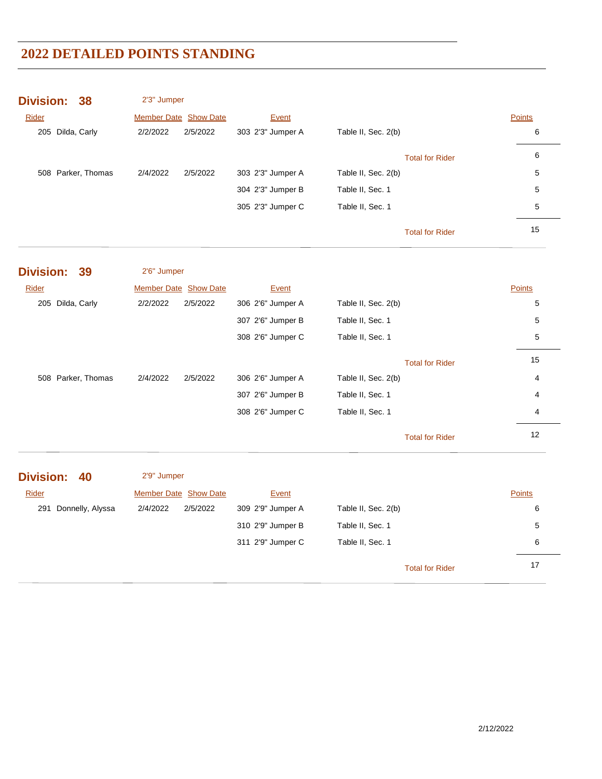| <b>Division:</b><br>38 | 2'3" Jumper           |                   |                        |               |
|------------------------|-----------------------|-------------------|------------------------|---------------|
| Rider                  | Member Date Show Date | Event             |                        | <b>Points</b> |
| 205 Dilda, Carly       | 2/2/2022<br>2/5/2022  | 303 2'3" Jumper A | Table II, Sec. 2(b)    | 6             |
|                        |                       |                   | <b>Total for Rider</b> | 6             |
| 508 Parker, Thomas     | 2/4/2022<br>2/5/2022  | 303 2'3" Jumper A | Table II, Sec. 2(b)    | 5             |
|                        |                       | 304 2'3" Jumper B | Table II, Sec. 1       | 5             |
|                        |                       | 305 2'3" Jumper C | Table II, Sec. 1       | 5             |
|                        |                       |                   | <b>Total for Rider</b> | 15            |
| <b>Division:</b><br>39 | 2'6" Jumper           |                   |                        |               |
| <b>Rider</b>           | Member Date Show Date | Event             |                        | Points        |
| 205 Dilda, Carly       | 2/2/2022<br>2/5/2022  | 306 2'6" Jumper A | Table II, Sec. 2(b)    | 5             |
|                        |                       | 307 2'6" Jumper B | Table II, Sec. 1       | 5             |
|                        |                       | 308 2'6" Jumper C | Table II, Sec. 1       | 5             |
|                        |                       |                   | <b>Total for Rider</b> | 15            |
| 508 Parker, Thomas     | 2/4/2022<br>2/5/2022  | 306 2'6" Jumper A | Table II, Sec. 2(b)    | 4             |
|                        |                       | 307 2'6" Jumper B | Table II, Sec. 1       | 4             |
|                        |                       | 308 2'6" Jumper C | Table II, Sec. 1       | 4             |
|                        |                       |                   | <b>Total for Rider</b> | 12            |
| <b>Division:</b><br>40 | 2'9" Jumper           |                   |                        |               |
| Rider                  | Member Date Show Date | Event             |                        | Points        |
| 291 Donnelly, Alyssa   | 2/4/2022<br>2/5/2022  | 309 2'9" Jumper A | Table II, Sec. 2(b)    | 6             |
|                        |                       | 310 2'9" Jumper B | Table II, Sec. 1       | 5             |
|                        |                       | 311 2'9" Jumper C | Table II, Sec. 1       | 6             |
|                        |                       |                   | <b>Total for Rider</b> | 17            |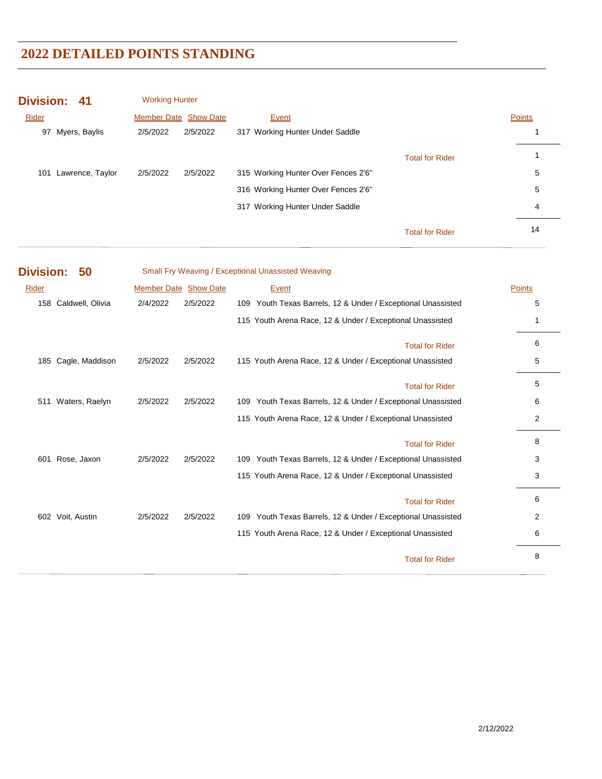| Division: 41            | <b>Working Hunter</b>        |                                     |        |
|-------------------------|------------------------------|-------------------------------------|--------|
| Rider                   | <b>Member Date Show Date</b> | Event                               | Points |
| Myers, Baylis<br>97     | 2/5/2022<br>2/5/2022         | 317 Working Hunter Under Saddle     |        |
|                         |                              | <b>Total for Rider</b>              |        |
| Lawrence, Taylor<br>101 | 2/5/2022<br>2/5/2022         | 315 Working Hunter Over Fences 2'6" | 5      |
|                         |                              | 316 Working Hunter Over Fences 2'6" | 5      |
|                         |                              | 317 Working Hunter Under Saddle     | 4      |
|                         |                              | <b>Total for Rider</b>              | 14     |

| <b>Division:</b> | 50               |                       |          | Small Fry Weaving / Exceptional Unassisted Weaving              |        |
|------------------|------------------|-----------------------|----------|-----------------------------------------------------------------|--------|
| Rider            |                  | Member Date Show Date |          | Event                                                           | Points |
| 158              | Caldwell, Olivia | 2/4/2022              | 2/5/2022 | 109 Youth Texas Barrels, 12 & Under / Exceptional Unassisted    | 5      |
|                  |                  |                       |          | 115 Youth Arena Race, 12 & Under / Exceptional Unassisted       | 1      |
|                  |                  |                       |          | <b>Total for Rider</b>                                          | 6      |
| 185              | Cagle, Maddison  | 2/5/2022              | 2/5/2022 | 115 Youth Arena Race, 12 & Under / Exceptional Unassisted       | 5      |
|                  |                  |                       |          | <b>Total for Rider</b>                                          | 5      |
| 511              | Waters, Raelyn   | 2/5/2022              | 2/5/2022 | 109 Youth Texas Barrels, 12 & Under / Exceptional Unassisted    | 6      |
|                  |                  |                       |          | 115 Youth Arena Race, 12 & Under / Exceptional Unassisted       | 2      |
|                  |                  |                       |          | <b>Total for Rider</b>                                          | 8      |
| 601              | Rose, Jaxon      | 2/5/2022              | 2/5/2022 | 109 Youth Texas Barrels, 12 & Under / Exceptional Unassisted    | 3      |
|                  |                  |                       |          | 115 Youth Arena Race, 12 & Under / Exceptional Unassisted       | 3      |
|                  |                  |                       |          | <b>Total for Rider</b>                                          | 6      |
| 602              | Voit, Austin     | 2/5/2022              | 2/5/2022 | Youth Texas Barrels, 12 & Under / Exceptional Unassisted<br>109 | 2      |
|                  |                  |                       |          | 115 Youth Arena Race, 12 & Under / Exceptional Unassisted       | 6      |
|                  |                  |                       |          | <b>Total for Rider</b>                                          | 8      |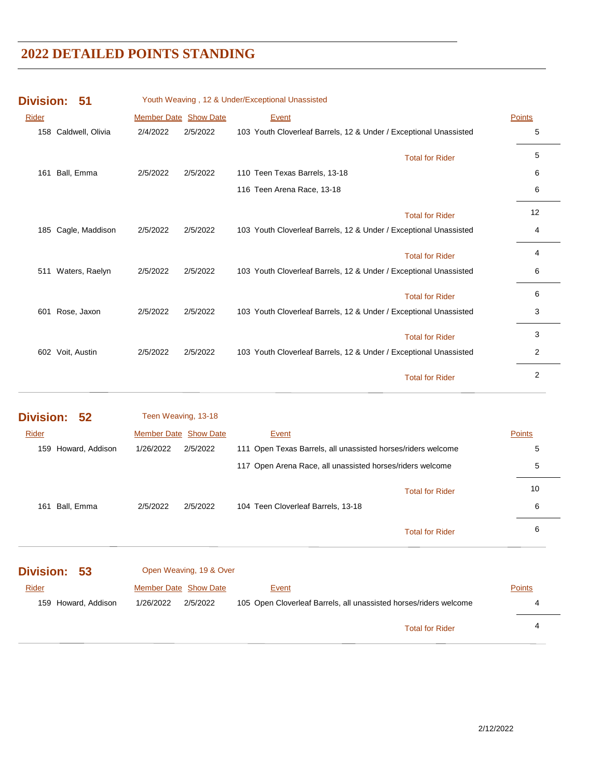| <b>Division:</b> | 51               |          |                       | Youth Weaving, 12 & Under/Exceptional Unassisted                  |               |
|------------------|------------------|----------|-----------------------|-------------------------------------------------------------------|---------------|
| Rider            |                  |          | Member Date Show Date | Event                                                             | <b>Points</b> |
| 158              | Caldwell, Olivia | 2/4/2022 | 2/5/2022              | 103 Youth Cloverleaf Barrels, 12 & Under / Exceptional Unassisted | 5             |
|                  |                  |          |                       | <b>Total for Rider</b>                                            | 5             |
| 161              | Ball, Emma       | 2/5/2022 | 2/5/2022              | 110 Teen Texas Barrels, 13-18                                     | 6             |
|                  |                  |          |                       | 116 Teen Arena Race, 13-18                                        | 6             |
|                  |                  |          |                       | <b>Total for Rider</b>                                            | 12            |
| 185              | Cagle, Maddison  | 2/5/2022 | 2/5/2022              | 103 Youth Cloverleaf Barrels, 12 & Under / Exceptional Unassisted | 4             |
|                  |                  |          |                       | <b>Total for Rider</b>                                            | 4             |
| 511              | Waters, Raelyn   | 2/5/2022 | 2/5/2022              | 103 Youth Cloverleaf Barrels, 12 & Under / Exceptional Unassisted | 6             |
|                  |                  |          |                       | <b>Total for Rider</b>                                            | 6             |
| 601              | Rose, Jaxon      | 2/5/2022 | 2/5/2022              | 103 Youth Cloverleaf Barrels, 12 & Under / Exceptional Unassisted | 3             |
|                  |                  |          |                       | <b>Total for Rider</b>                                            | 3             |
| 602              | Voit, Austin     | 2/5/2022 | 2/5/2022              | 103 Youth Cloverleaf Barrels, 12 & Under / Exceptional Unassisted | 2             |
|                  |                  |          |                       | <b>Total for Rider</b>                                            | 2             |

| Division: 52           | Teen Weaving, 13-18          |                                                              |               |
|------------------------|------------------------------|--------------------------------------------------------------|---------------|
| Rider                  | <b>Member Date Show Date</b> | Event                                                        | <b>Points</b> |
| Howard, Addison<br>159 | 2/5/2022<br>1/26/2022        | 111 Open Texas Barrels, all unassisted horses/riders welcome | 5             |
|                        |                              | 117 Open Arena Race, all unassisted horses/riders welcome    | 5             |
|                        |                              | <b>Total for Rider</b>                                       | 10            |
| Ball, Emma<br>161      | 2/5/2022<br>2/5/2022         | 104 Teen Cloverleaf Barrels, 13-18                           | 6             |
|                        |                              | <b>Total for Rider</b>                                       | 6             |
|                        |                              |                                                              |               |

| Division: 53        | Open Weaving, 19 & Over |                                                                   |               |
|---------------------|-------------------------|-------------------------------------------------------------------|---------------|
| <b>Rider</b>        | Member Date Show Date   | Event                                                             | <b>Points</b> |
| 159 Howard, Addison | 1/26/2022<br>2/5/2022   | 105 Open Cloverleaf Barrels, all unassisted horses/riders welcome | 4             |
|                     |                         | <b>Total for Rider</b>                                            | 4             |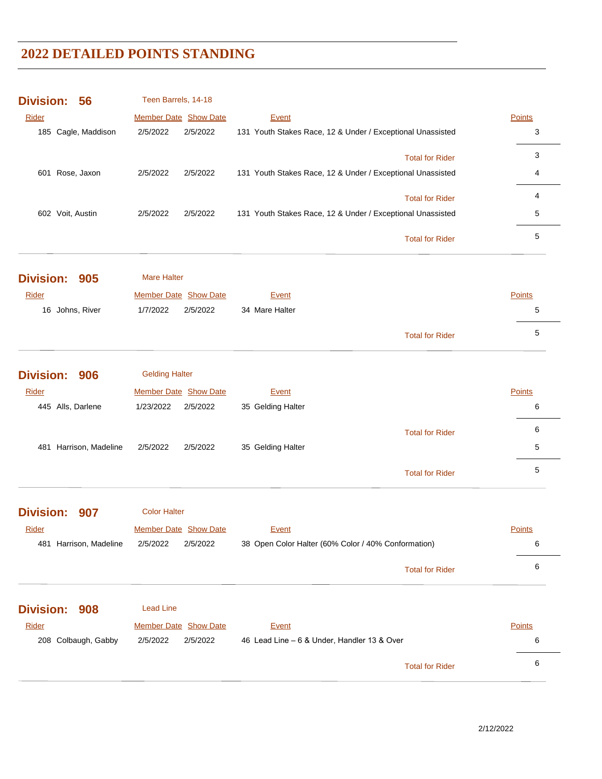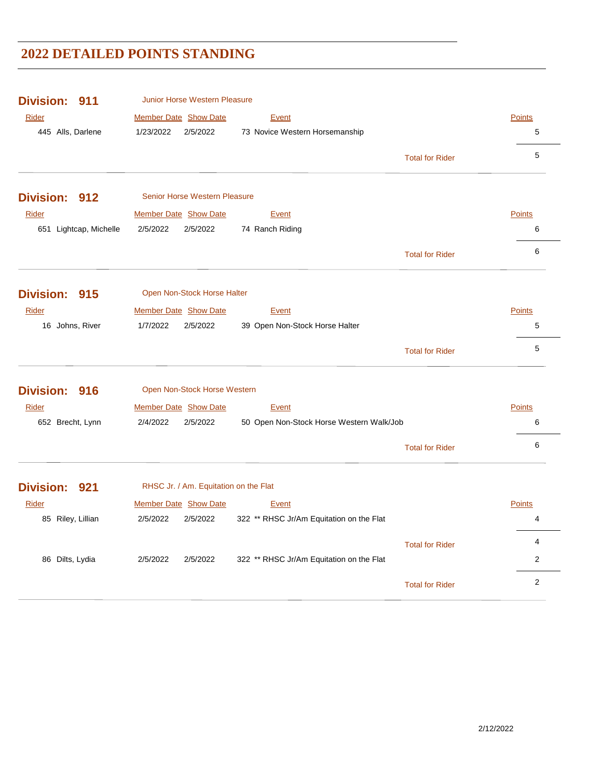| <b>Division:</b><br>911 | <b>Junior Horse Western Pleasure</b>                             |                        |                |  |  |
|-------------------------|------------------------------------------------------------------|------------------------|----------------|--|--|
| <b>Rider</b>            | Member Date Show Date<br><b>Event</b>                            |                        | <b>Points</b>  |  |  |
| 445 Alls, Darlene       | 1/23/2022<br>2/5/2022<br>73 Novice Western Horsemanship          |                        | 5              |  |  |
|                         |                                                                  | <b>Total for Rider</b> | 5              |  |  |
| Division: 912           | Senior Horse Western Pleasure                                    |                        |                |  |  |
| <b>Rider</b>            | <b>Member Date Show Date</b><br>Event                            |                        | <b>Points</b>  |  |  |
| 651 Lightcap, Michelle  | 2/5/2022<br>2/5/2022<br>74 Ranch Riding                          |                        | 6              |  |  |
|                         |                                                                  | <b>Total for Rider</b> | 6              |  |  |
| Division: 915           | Open Non-Stock Horse Halter                                      |                        |                |  |  |
| Rider                   | Member Date Show Date<br><b>Event</b>                            |                        | <b>Points</b>  |  |  |
| 16 Johns, River         | 1/7/2022<br>2/5/2022<br>39 Open Non-Stock Horse Halter           |                        | 5              |  |  |
|                         |                                                                  | <b>Total for Rider</b> | 5              |  |  |
| Division: 916           | Open Non-Stock Horse Western                                     |                        |                |  |  |
| Rider                   | Member Date Show Date<br>Event                                   |                        | <b>Points</b>  |  |  |
| 652 Brecht, Lynn        | 2/4/2022<br>2/5/2022<br>50 Open Non-Stock Horse Western Walk/Job |                        | 6              |  |  |
|                         |                                                                  | <b>Total for Rider</b> | 6              |  |  |
| Division: 921           | RHSC Jr. / Am. Equitation on the Flat                            |                        |                |  |  |
| Rider                   | <b>Member Date Show Date</b><br>Event                            |                        | <b>Points</b>  |  |  |
| 85 Riley, Lillian       | 322 ** RHSC Jr/Am Equitation on the Flat<br>2/5/2022<br>2/5/2022 |                        | 4              |  |  |
|                         |                                                                  | <b>Total for Rider</b> | 4              |  |  |
| 86 Dilts, Lydia         | 2/5/2022<br>2/5/2022<br>322 ** RHSC Jr/Am Equitation on the Flat |                        | $\overline{2}$ |  |  |
|                         |                                                                  | <b>Total for Rider</b> | $\overline{2}$ |  |  |
|                         |                                                                  |                        |                |  |  |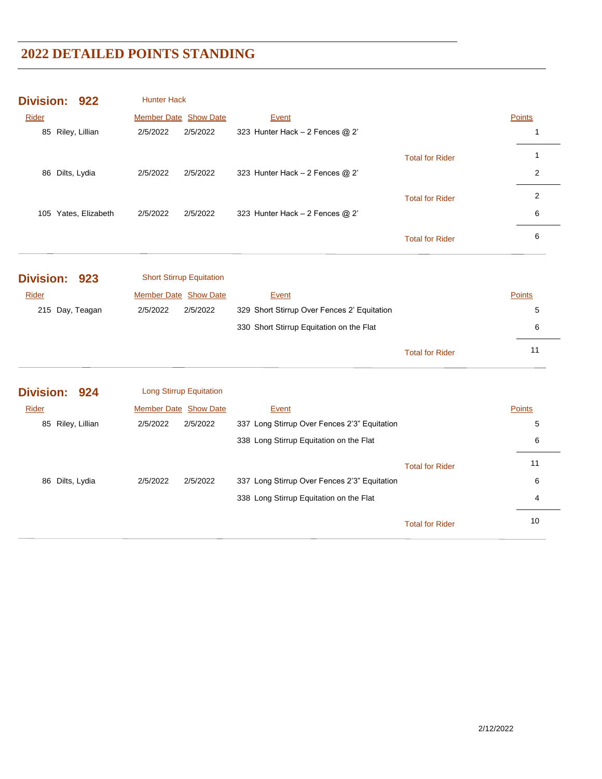| Division: 922           | <b>Hunter Hack</b>              |                                              |                        |                |
|-------------------------|---------------------------------|----------------------------------------------|------------------------|----------------|
| Rider                   | Member Date Show Date           | Event                                        |                        | Points         |
| 85 Riley, Lillian       | 2/5/2022<br>2/5/2022            | 323 Hunter Hack - 2 Fences @ 2'              |                        | 1              |
|                         |                                 |                                              | <b>Total for Rider</b> | $\mathbf{1}$   |
| 86 Dilts, Lydia         | 2/5/2022<br>2/5/2022            | 323 Hunter Hack - 2 Fences @ 2'              |                        | $\overline{2}$ |
|                         |                                 |                                              | <b>Total for Rider</b> | $\overline{2}$ |
| 105 Yates, Elizabeth    | 2/5/2022<br>2/5/2022            | 323 Hunter Hack - 2 Fences @ 2'              |                        | 6              |
|                         |                                 |                                              | <b>Total for Rider</b> | $\,6$          |
| <b>Division:</b><br>923 | <b>Short Stirrup Equitation</b> |                                              |                        |                |
| Rider                   | <b>Member Date Show Date</b>    | Event                                        |                        | Points         |
| 215 Day, Teagan         | 2/5/2022<br>2/5/2022            | 329 Short Stirrup Over Fences 2' Equitation  |                        | 5              |
|                         |                                 | 330 Short Stirrup Equitation on the Flat     |                        | 6              |
|                         |                                 |                                              | <b>Total for Rider</b> | 11             |
| Division: 924           | <b>Long Stirrup Equitation</b>  |                                              |                        |                |
| <b>Rider</b>            | <b>Member Date Show Date</b>    | Event                                        |                        | <b>Points</b>  |
| 85 Riley, Lillian       | 2/5/2022<br>2/5/2022            | 337 Long Stirrup Over Fences 2'3" Equitation |                        | 5              |
|                         |                                 | 338 Long Stirrup Equitation on the Flat      |                        | 6              |
|                         |                                 |                                              | <b>Total for Rider</b> | 11             |
| 86 Dilts, Lydia         | 2/5/2022<br>2/5/2022            | 337 Long Stirrup Over Fences 2'3" Equitation |                        | 6              |
|                         |                                 | 338 Long Stirrup Equitation on the Flat      |                        | 4              |
|                         |                                 |                                              | <b>Total for Rider</b> | 10             |